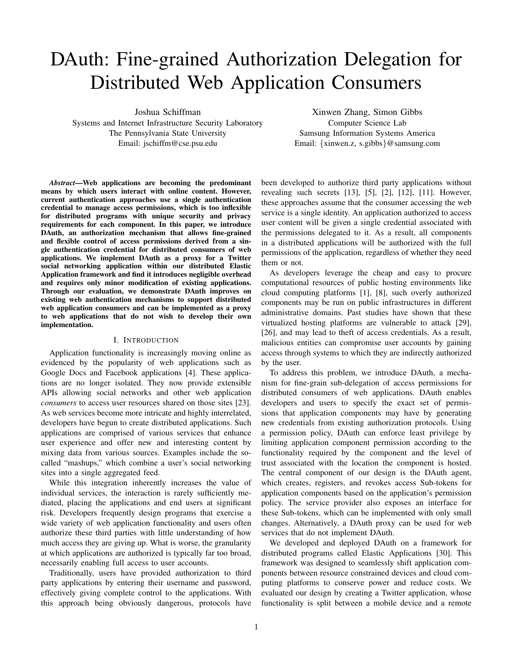# DAuth: Fine-grained Authorization Delegation for Distributed Web Application Consumers

Joshua Schiffman

Systems and Internet Infrastructure Security Laboratory The Pennsylvania State University Email: jschiffm@cse.psu.edu

Xinwen Zhang, Simon Gibbs Computer Science Lab Samsung Information Systems America Email: {xinwen.z, s.gibbs}@samsung.com

*Abstract*—Web applications are becoming the predominant means by which users interact with online content. However, current authentication approaches use a single authentication credential to manage access permissions, which is too inflexible for distributed programs with unique security and privacy requirements for each component. In this paper, we introduce DAuth, an authorization mechanism that allows fine-grained and flexible control of access permissions derived from a single authentication credential for distributed consumers of web applications. We implement DAuth as a proxy for a Twitter social networking application within our distributed Elastic Application framework and find it introduces negligible overhead and requires only minor modification of existing applications. Through our evaluation, we demonstrate DAuth improves on existing web authentication mechanisms to support distributed web application consumers and can be implemented as a proxy to web applications that do not wish to develop their own implementation.

# I. INTRODUCTION

Application functionality is increasingly moving online as evidenced by the popularity of web applications such as Google Docs and Facebook applications [4]. These applications are no longer isolated. They now provide extensible APIs allowing social networks and other web application *consumers* to access user resources shared on those sites [23]. As web services become more intricate and highly interrelated, developers have begun to create distributed applications. Such applications are comprised of various services that enhance user experience and offer new and interesting content by mixing data from various sources. Examples include the socalled "mashups," which combine a user's social networking sites into a single aggregated feed.

While this integration inherently increases the value of individual services, the interaction is rarely sufficiently mediated, placing the applications and end users at significant risk. Developers frequently design programs that exercise a wide variety of web application functionality and users often authorize these third parties with little understanding of how much access they are giving up. What is worse, the granularity at which applications are authorized is typically far too broad, necessarily enabling full access to user accounts.

Traditionally, users have provided authorization to third party applications by entering their username and password, effectively giving complete control to the applications. With this approach being obviously dangerous, protocols have been developed to authorize third party applications without revealing such secrets [13], [5], [2], [12], [11]. However, these approaches assume that the consumer accessing the web service is a single identity. An application authorized to access user content will be given a single credential associated with the permissions delegated to it. As a result, all components in a distributed applications will be authorized with the full permissions of the application, regardless of whether they need them or not.

As developers leverage the cheap and easy to procure computational resources of public hosting environments like cloud computing platforms [1], [8], such overly authorized components may be run on public infrastructures in different administrative domains. Past studies have shown that these virtualized hosting platforms are vulnerable to attack [29], [26], and may lead to theft of access credentials. As a result, malicious entities can compromise user accounts by gaining access through systems to which they are indirectly authorized by the user.

To address this problem, we introduce DAuth, a mechanism for fine-grain sub-delegation of access permissions for distributed consumers of web applications. DAuth enables developers and users to specify the exact set of permissions that application components may have by generating new credentials from existing authorization protocols. Using a permission policy, DAuth can enforce least privilege by limiting application component permission according to the functionality required by the component and the level of trust associated with the location the component is hosted. The central component of our design is the DAuth agent, which creates, registers, and revokes access Sub-tokens for application components based on the application's permission policy. The service provider also exposes an interface for these Sub-tokens, which can be implemented with only small changes. Alternatively, a DAuth proxy can be used for web services that do not implement DAuth.

We developed and deployed DAuth on a framework for distributed programs called Elastic Applications [30]. This framework was designed to seamlessly shift application components between resource constrained devices and cloud computing platforms to conserve power and reduce costs. We evaluated our design by creating a Twitter application, whose functionality is split between a mobile device and a remote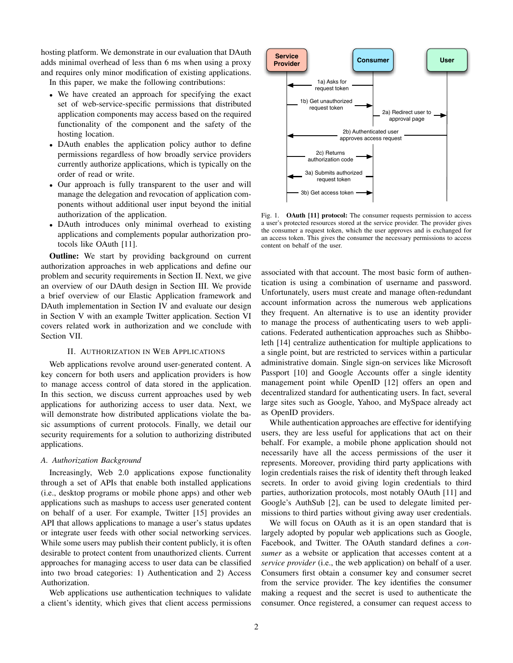hosting platform. We demonstrate in our evaluation that DAuth adds minimal overhead of less than 6 ms when using a proxy and requires only minor modification of existing applications.

In this paper, we make the following contributions:

- We have created an approach for specifying the exact set of web-service-specific permissions that distributed application components may access based on the required functionality of the component and the safety of the hosting location.
- DAuth enables the application policy author to define permissions regardless of how broadly service providers currently authorize applications, which is typically on the order of read or write.
- Our approach is fully transparent to the user and will manage the delegation and revocation of application components without additional user input beyond the initial authorization of the application.
- DAuth introduces only minimal overhead to existing applications and complements popular authorization protocols like OAuth [11].

**Outline:** We start by providing background on current authorization approaches in web applications and define our problem and security requirements in Section II. Next, we give an overview of our DAuth design in Section III. We provide a brief overview of our Elastic Application framework and DAuth implementation in Section IV and evaluate our design in Section V with an example Twitter application. Section VI covers related work in authorization and we conclude with Section VII.

# II. AUTHORIZATION IN WEB APPLICATIONS

Web applications revolve around user-generated content. A key concern for both users and application providers is how to manage access control of data stored in the application. In this section, we discuss current approaches used by web applications for authorizing access to user data. Next, we will demonstrate how distributed applications violate the basic assumptions of current protocols. Finally, we detail our security requirements for a solution to authorizing distributed applications.

## *A. Authorization Background*

Increasingly, Web 2.0 applications expose functionality through a set of APIs that enable both installed applications (i.e., desktop programs or mobile phone apps) and other web applications such as mashups to access user generated content on behalf of a user. For example, Twitter [15] provides an API that allows applications to manage a user's status updates or integrate user feeds with other social networking services. While some users may publish their content publicly, it is often desirable to protect content from unauthorized clients. Current approaches for managing access to user data can be classified into two broad categories: 1) Authentication and 2) Access Authorization.

Web applications use authentication techniques to validate a client's identity, which gives that client access permissions



Fig. 1. OAuth [11] protocol: The consumer requests permission to access a user's protected resources stored at the service provider. The provider gives the consumer a request token, which the user approves and is exchanged for an access token. This gives the consumer the necessary permissions to access content on behalf of the user.

associated with that account. The most basic form of authentication is using a combination of username and password. Unfortunately, users must create and manage often-redundant account information across the numerous web applications they frequent. An alternative is to use an identity provider to manage the process of authenticating users to web applications. Federated authentication approaches such as Shibboleth [14] centralize authentication for multiple applications to a single point, but are restricted to services within a particular administrative domain. Single sign-on services like Microsoft Passport [10] and Google Accounts offer a single identity management point while OpenID [12] offers an open and decentralized standard for authenticating users. In fact, several large sites such as Google, Yahoo, and MySpace already act as OpenID providers.

While authentication approaches are effective for identifying users, they are less useful for applications that act on their behalf. For example, a mobile phone application should not necessarily have all the access permissions of the user it represents. Moreover, providing third party applications with login credentials raises the risk of identity theft through leaked secrets. In order to avoid giving login credentials to third parties, authorization protocols, most notably OAuth [11] and Google's AuthSub [2], can be used to delegate limited permissions to third parties without giving away user credentials.

We will focus on OAuth as it is an open standard that is largely adopted by popular web applications such as Google, Facebook, and Twitter. The OAuth standard defines a *consumer* as a website or application that accesses content at a *service provider* (i.e., the web application) on behalf of a user. Consumers first obtain a consumer key and consumer secret from the service provider. The key identifies the consumer making a request and the secret is used to authenticate the consumer. Once registered, a consumer can request access to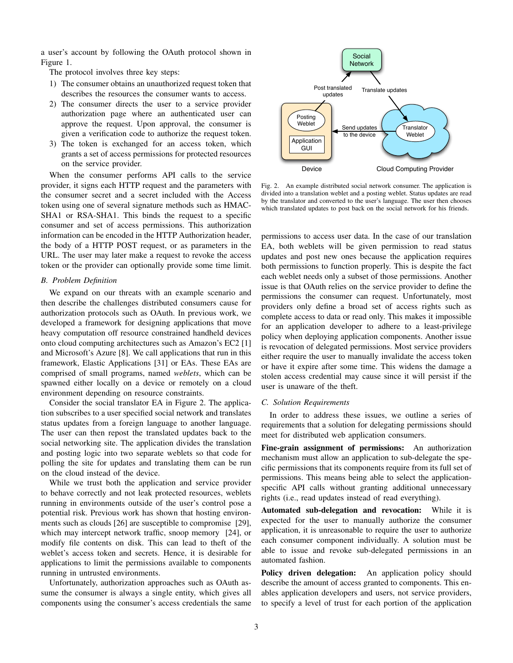a user's account by following the OAuth protocol shown in Figure 1.

The protocol involves three key steps:

- 1) The consumer obtains an unauthorized request token that describes the resources the consumer wants to access.
- 2) The consumer directs the user to a service provider authorization page where an authenticated user can approve the request. Upon approval, the consumer is given a verification code to authorize the request token.
- 3) The token is exchanged for an access token, which grants a set of access permissions for protected resources on the service provider.

When the consumer performs API calls to the service provider, it signs each HTTP request and the parameters with the consumer secret and a secret included with the Access token using one of several signature methods such as HMAC-SHA1 or RSA-SHA1. This binds the request to a specific consumer and set of access permissions. This authorization information can be encoded in the HTTP Authorization header, the body of a HTTP POST request, or as parameters in the URL. The user may later make a request to revoke the access token or the provider can optionally provide some time limit.

# *B. Problem Definition*

We expand on our threats with an example scenario and then describe the challenges distributed consumers cause for authorization protocols such as OAuth. In previous work, we developed a framework for designing applications that move heavy computation off resource constrained handheld devices onto cloud computing architectures such as Amazon's EC2 [1] and Microsoft's Azure [8]. We call applications that run in this framework, Elastic Applications [31] or EAs. These EAs are comprised of small programs, named *weblets*, which can be spawned either locally on a device or remotely on a cloud environment depending on resource constraints.

Consider the social translator EA in Figure 2. The application subscribes to a user specified social network and translates status updates from a foreign language to another language. The user can then repost the translated updates back to the social networking site. The application divides the translation and posting logic into two separate weblets so that code for polling the site for updates and translating them can be run on the cloud instead of the device.

While we trust both the application and service provider to behave correctly and not leak protected resources, weblets running in environments outside of the user's control pose a potential risk. Previous work has shown that hosting environments such as clouds [26] are susceptible to compromise [29], which may intercept network traffic, snoop memory [24], or modify file contents on disk. This can lead to theft of the weblet's access token and secrets. Hence, it is desirable for applications to limit the permissions available to components running in untrusted environments.

Unfortunately, authorization approaches such as OAuth assume the consumer is always a single entity, which gives all components using the consumer's access credentials the same



Fig. 2. An example distributed social network consumer. The application is divided into a translation weblet and a posting weblet. Status updates are read by the translator and converted to the user's language. The user then chooses which translated updates to post back on the social network for his friends.

permissions to access user data. In the case of our translation EA, both weblets will be given permission to read status updates and post new ones because the application requires both permissions to function properly. This is despite the fact each weblet needs only a subset of those permissions. Another issue is that OAuth relies on the service provider to define the permissions the consumer can request. Unfortunately, most providers only define a broad set of access rights such as complete access to data or read only. This makes it impossible for an application developer to adhere to a least-privilege policy when deploying application components. Another issue is revocation of delegated permissions. Most service providers either require the user to manually invalidate the access token or have it expire after some time. This widens the damage a stolen access credential may cause since it will persist if the user is unaware of the theft.

# *C. Solution Requirements*

In order to address these issues, we outline a series of requirements that a solution for delegating permissions should meet for distributed web application consumers.

Fine-grain assignment of permissions: An authorization mechanism must allow an application to sub-delegate the specific permissions that its components require from its full set of permissions. This means being able to select the applicationspecific API calls without granting additional unnecessary rights (i.e., read updates instead of read everything).

Automated sub-delegation and revocation: While it is expected for the user to manually authorize the consumer application, it is unreasonable to require the user to authorize each consumer component individually. A solution must be able to issue and revoke sub-delegated permissions in an automated fashion.

Policy driven delegation: An application policy should describe the amount of access granted to components. This enables application developers and users, not service providers, to specify a level of trust for each portion of the application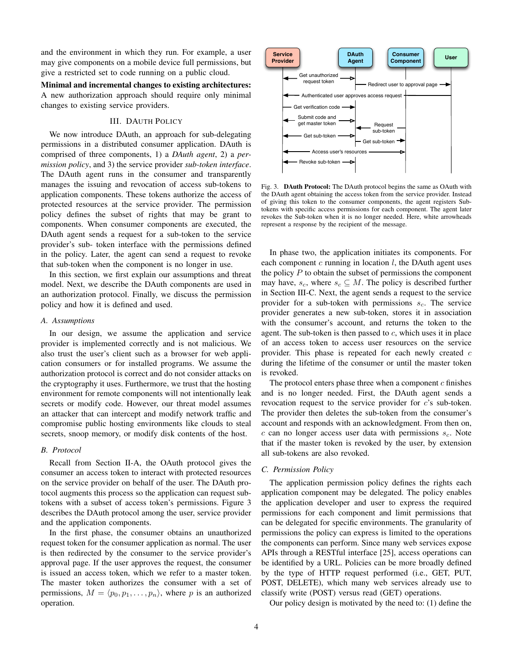and the environment in which they run. For example, a user may give components on a mobile device full permissions, but give a restricted set to code running on a public cloud.

Minimal and incremental changes to existing architectures: A new authorization approach should require only minimal changes to existing service providers.

# III. DAUTH POLICY

We now introduce DAuth, an approach for sub-delegating permissions in a distributed consumer application. DAuth is comprised of three components, 1) a *DAuth agent*, 2) a *permission policy*, and 3) the service provider *sub-token interface*. The DAuth agent runs in the consumer and transparently manages the issuing and revocation of access sub-tokens to application components. These tokens authorize the access of protected resources at the service provider. The permission policy defines the subset of rights that may be grant to components. When consumer components are executed, the DAuth agent sends a request for a sub-token to the service provider's sub- token interface with the permissions defined in the policy. Later, the agent can send a request to revoke that sub-token when the component is no longer in use.

In this section, we first explain our assumptions and threat model. Next, we describe the DAuth components are used in an authorization protocol. Finally, we discuss the permission policy and how it is defined and used.

# *A. Assumptions*

In our design, we assume the application and service provider is implemented correctly and is not malicious. We also trust the user's client such as a browser for web application consumers or for installed programs. We assume the authorization protocol is correct and do not consider attacks on the cryptography it uses. Furthermore, we trust that the hosting environment for remote components will not intentionally leak secrets or modify code. However, our threat model assumes an attacker that can intercept and modify network traffic and compromise public hosting environments like clouds to steal secrets, snoop memory, or modify disk contents of the host.

## *B. Protocol*

Recall from Section II-A, the OAuth protocol gives the consumer an access token to interact with protected resources on the service provider on behalf of the user. The DAuth protocol augments this process so the application can request subtokens with a subset of access token's permissions. Figure 3 describes the DAuth protocol among the user, service provider and the application components.

In the first phase, the consumer obtains an unauthorized request token for the consumer application as normal. The user is then redirected by the consumer to the service provider's approval page. If the user approves the request, the consumer is issued an access token, which we refer to a master token. The master token authorizes the consumer with a set of permissions,  $M = \langle p_0, p_1, \dots, p_n \rangle$ , where p is an authorized operation.



Fig. 3. DAuth Protocol: The DAuth protocol begins the same as OAuth with the DAuth agent obtaining the access token from the service provider. Instead of giving this token to the consumer components, the agent registers Subtokens with specific access permissions for each component. The agent later revokes the Sub-token when it is no longer needed. Here, white arrowheads represent a response by the recipient of the message.

In phase two, the application initiates its components. For each component  $c$  running in location  $l$ , the DAuth agent uses the policy  $P$  to obtain the subset of permissions the component may have,  $s_c$ , where  $s_c \subseteq M$ . The policy is described further in Section III-C. Next, the agent sends a request to the service provider for a sub-token with permissions  $s_c$ . The service provider generates a new sub-token, stores it in association with the consumer's account, and returns the token to the agent. The sub-token is then passed to  $c$ , which uses it in place of an access token to access user resources on the service provider. This phase is repeated for each newly created  $c$ during the lifetime of the consumer or until the master token is revoked.

The protocol enters phase three when a component  $c$  finishes and is no longer needed. First, the DAuth agent sends a revocation request to the service provider for c's sub-token. The provider then deletes the sub-token from the consumer's account and responds with an acknowledgment. From then on,  $c$  can no longer access user data with permissions  $s_c$ . Note that if the master token is revoked by the user, by extension all sub-tokens are also revoked.

# *C. Permission Policy*

The application permission policy defines the rights each application component may be delegated. The policy enables the application developer and user to express the required permissions for each component and limit permissions that can be delegated for specific environments. The granularity of permissions the policy can express is limited to the operations the components can perform. Since many web services expose APIs through a RESTful interface [25], access operations can be identified by a URL. Policies can be more broadly defined by the type of HTTP request performed (i.e., GET, PUT, POST, DELETE), which many web services already use to classify write (POST) versus read (GET) operations.

Our policy design is motivated by the need to: (1) define the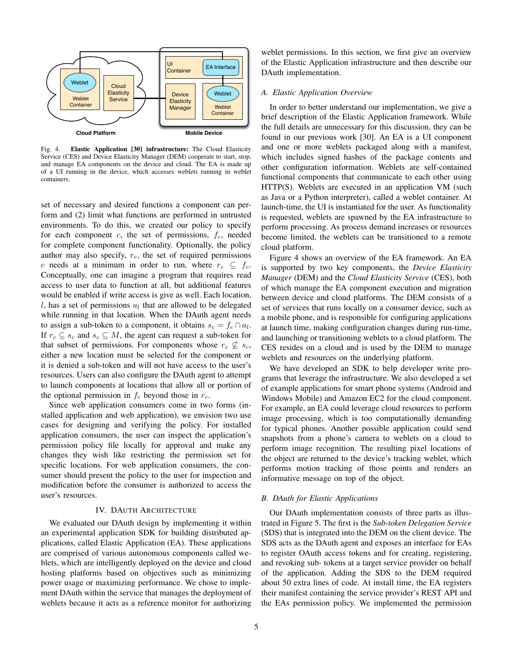

Fig. 4. Elastic Application [30] infrastructure: The Cloud Elasticity Service (CES) and Device Elasticity Manager (DEM) cooperate to start, stop, and manage EA components on the device and cloud. The EA is made up of a UI running in the device, which accesses weblets running in weblet containers.

set of necessary and desired functions a component can perform and (2) limit what functions are performed in untrusted environments. To do this, we created our policy to specify for each component  $c$ , the set of permissions,  $f_c$ , needed for complete component functionality. Optionally, the policy author may also specify,  $r_c$ , the set of required permissions c needs at a minimum in order to run, where  $r_c \subseteq f_c$ . Conceptually, one can imagine a program that requires read access to user data to function at all, but additional features would be enabled if write access is give as well. Each location, l, has a set of permissions  $a_l$  that are allowed to be delegated while running in that location. When the DAuth agent needs to assign a sub-token to a component, it obtains  $s_c = f_c \cap a_l$ . If  $r_c \subseteq s_c$  and  $s_c \subseteq M$ , the agent can request a sub-token for that subset of permissions. For components whose  $r_c \nsubseteq s_c$ , either a new location must be selected for the component or it is denied a sub-token and will not have access to the user's resources. Users can also configure the DAuth agent to attempt to launch components at locations that allow all or portion of the optional permission in  $f_c$  beyond those in  $r_c$ .

Since web application consumers come in two forms (installed application and web application), we envision two use cases for designing and verifying the policy. For installed application consumers, the user can inspect the application's permission policy file locally for approval and make any changes they wish like restricting the permission set for specific locations. For web application consumers, the consumer should present the policy to the user for inspection and modification before the consumer is authorized to access the user's resources.

# IV. DAUTH ARCHITECTURE

We evaluated our DAuth design by implementing it within an experimental application SDK for building distributed applications, called Elastic Application (EA). These applications are comprised of various autonomous components called weblets, which are intelligently deployed on the device and cloud hosting platforms based on objectives such as minimizing power usage or maximizing performance. We chose to implement DAuth within the service that manages the deployment of weblets because it acts as a reference monitor for authorizing

weblet permissions. In this section, we first give an overview of the Elastic Application infrastructure and then describe our DAuth implementation.

## *A. Elastic Application Overview*

In order to better understand our implementation, we give a brief description of the Elastic Application framework. While the full details are unnecessary for this discussion, they can be found in our previous work [30]. An EA is a UI component and one or more weblets packaged along with a manifest, which includes signed hashes of the package contents and other configuration information. Weblets are self-contained functional components that communicate to each other using HTTP(S). Weblets are executed in an application VM (such as Java or a Python interpreter), called a weblet container. At launch-time, the UI is instantiated for the user. As functionality is requested, weblets are spawned by the EA infrastructure to perform processing. As process demand increases or resources become limited, the weblets can be transitioned to a remote cloud platform.

Figure 4 shows an overview of the EA framework. An EA is supported by two key components, the *Device Elasticity Manager* (DEM) and the *Cloud Elasticity Service* (CES), both of which manage the EA component execution and migration between device and cloud platforms. The DEM consists of a set of services that runs locally on a consumer device, such as a mobile phone, and is responsible for configuring applications at launch time, making configuration changes during run-time, and launching or transitioning weblets to a cloud platform. The CES resides on a cloud and is used by the DEM to manage weblets and resources on the underlying platform.

We have developed an SDK to help developer write programs that leverage the infrastructure. We also developed a set of example applications for smart phone systems (Android and Windows Mobile) and Amazon EC2 for the cloud component. For example, an EA could leverage cloud resources to perform image processing, which is too computationally demanding for typical phones. Another possible application could send snapshots from a phone's camera to weblets on a cloud to perform image recognition. The resulting pixel locations of the object are returned to the device's tracking weblet, which performs motion tracking of those points and renders an informative message on top of the object.

#### *B. DAuth for Elastic Applications*

Our DAuth implementation consists of three parts as illustrated in Figure 5. The first is the *Sub-token Delegation Service* (SDS) that is integrated into the DEM on the client device. The SDS acts as the DAuth agent and exposes an interface for EAs to register OAuth access tokens and for creating, registering, and revoking sub- tokens at a target service provider on behalf of the application. Adding the SDS to the DEM required about 50 extra lines of code. At install time, the EA registers their manifest containing the service provider's REST API and the EAs permission policy. We implemented the permission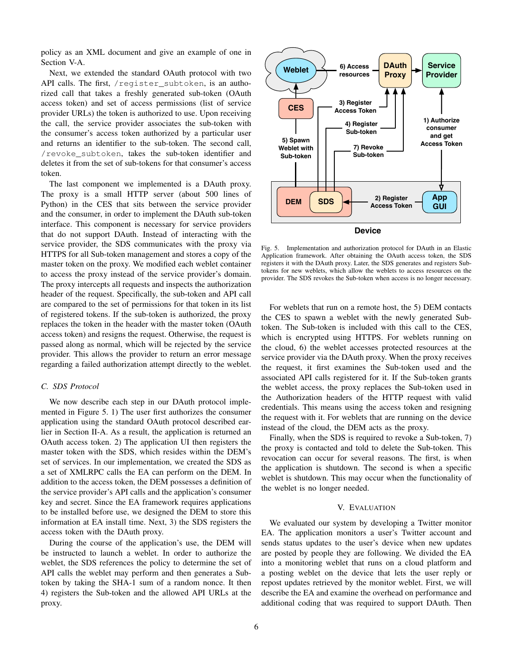policy as an XML document and give an example of one in Section V-A.

Next, we extended the standard OAuth protocol with two API calls. The first, /register\_subtoken, is an authorized call that takes a freshly generated sub-token (OAuth access token) and set of access permissions (list of service provider URLs) the token is authorized to use. Upon receiving the call, the service provider associates the sub-token with the consumer's access token authorized by a particular user and returns an identifier to the sub-token. The second call, /revoke\_subtoken, takes the sub-token identifier and deletes it from the set of sub-tokens for that consumer's access token.

The last component we implemented is a DAuth proxy. The proxy is a small HTTP server (about 500 lines of Python) in the CES that sits between the service provider and the consumer, in order to implement the DAuth sub-token interface. This component is necessary for service providers that do not support DAuth. Instead of interacting with the service provider, the SDS communicates with the proxy via HTTPS for all Sub-token management and stores a copy of the master token on the proxy. We modified each weblet container to access the proxy instead of the service provider's domain. The proxy intercepts all requests and inspects the authorization header of the request. Specifically, the sub-token and API call are compared to the set of permissions for that token in its list of registered tokens. If the sub-token is authorized, the proxy replaces the token in the header with the master token (OAuth access token) and resigns the request. Otherwise, the request is passed along as normal, which will be rejected by the service provider. This allows the provider to return an error message regarding a failed authorization attempt directly to the weblet.

## *C. SDS Protocol*

We now describe each step in our DAuth protocol implemented in Figure 5. 1) The user first authorizes the consumer application using the standard OAuth protocol described earlier in Section II-A. As a result, the application is returned an OAuth access token. 2) The application UI then registers the master token with the SDS, which resides within the DEM's set of services. In our implementation, we created the SDS as a set of XMLRPC calls the EA can perform on the DEM. In addition to the access token, the DEM possesses a definition of the service provider's API calls and the application's consumer key and secret. Since the EA framework requires applications to be installed before use, we designed the DEM to store this information at EA install time. Next, 3) the SDS registers the access token with the DAuth proxy.

During the course of the application's use, the DEM will be instructed to launch a weblet. In order to authorize the weblet, the SDS references the policy to determine the set of API calls the weblet may perform and then generates a Subtoken by taking the SHA-1 sum of a random nonce. It then 4) registers the Sub-token and the allowed API URLs at the proxy.



Fig. 5. Implementation and authorization protocol for DAuth in an Elastic Application framework. After obtaining the OAuth access token, the SDS registers it with the DAuth proxy. Later, the SDS generates and registers Subtokens for new weblets, which allow the weblets to access resources on the provider. The SDS revokes the Sub-token when access is no longer necessary.

For weblets that run on a remote host, the 5) DEM contacts the CES to spawn a weblet with the newly generated Subtoken. The Sub-token is included with this call to the CES, which is encrypted using HTTPS. For weblets running on the cloud, 6) the weblet accesses protected resources at the service provider via the DAuth proxy. When the proxy receives the request, it first examines the Sub-token used and the associated API calls registered for it. If the Sub-token grants the weblet access, the proxy replaces the Sub-token used in the Authorization headers of the HTTP request with valid credentials. This means using the access token and resigning the request with it. For weblets that are running on the device instead of the cloud, the DEM acts as the proxy.

Finally, when the SDS is required to revoke a Sub-token, 7) the proxy is contacted and told to delete the Sub-token. This revocation can occur for several reasons. The first, is when the application is shutdown. The second is when a specific weblet is shutdown. This may occur when the functionality of the weblet is no longer needed.

#### V. EVALUATION

We evaluated our system by developing a Twitter monitor EA. The application monitors a user's Twitter account and sends status updates to the user's device when new updates are posted by people they are following. We divided the EA into a monitoring weblet that runs on a cloud platform and a posting weblet on the device that lets the user reply or repost updates retrieved by the monitor weblet. First, we will describe the EA and examine the overhead on performance and additional coding that was required to support DAuth. Then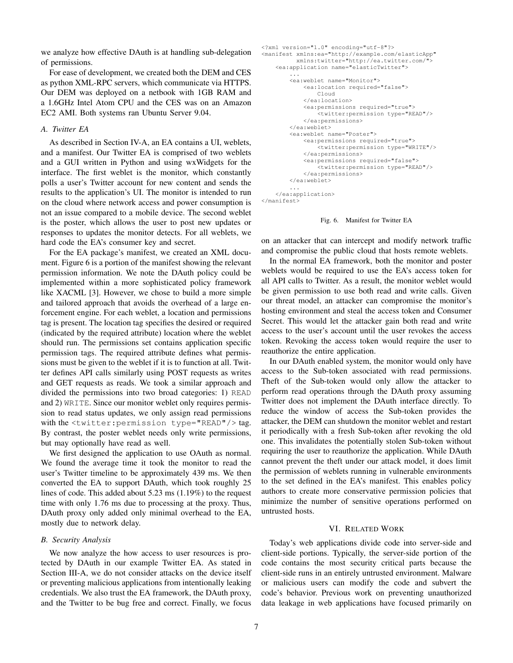we analyze how effective DAuth is at handling sub-delegation of permissions.

For ease of development, we created both the DEM and CES as python XML-RPC servers, which communicate via HTTPS. Our DEM was deployed on a netbook with 1GB RAM and a 1.6GHz Intel Atom CPU and the CES was on an Amazon EC2 AMI. Both systems ran Ubuntu Server 9.04.

# *A. Twitter EA*

As described in Section IV-A, an EA contains a UI, weblets, and a manifest. Our Twitter EA is comprised of two weblets and a GUI written in Python and using wxWidgets for the interface. The first weblet is the monitor, which constantly polls a user's Twitter account for new content and sends the results to the application's UI. The monitor is intended to run on the cloud where network access and power consumption is not an issue compared to a mobile device. The second weblet is the poster, which allows the user to post new updates or responses to updates the monitor detects. For all weblets, we hard code the EA's consumer key and secret.

For the EA package's manifest, we created an XML document. Figure 6 is a portion of the manifest showing the relevant permission information. We note the DAuth policy could be implemented within a more sophisticated policy framework like XACML [3]. However, we chose to build a more simple and tailored approach that avoids the overhead of a large enforcement engine. For each weblet, a location and permissions tag is present. The location tag specifies the desired or required (indicated by the required attribute) location where the weblet should run. The permissions set contains application specific permission tags. The required attribute defines what permissions must be given to the weblet if it is to function at all. Twitter defines API calls similarly using POST requests as writes and GET requests as reads. We took a similar approach and divided the permissions into two broad categories: 1) READ and 2) WRITE. Since our monitor weblet only requires permission to read status updates, we only assign read permissions with the <twitter:permission type="READ"/> tag. By contrast, the poster weblet needs only write permissions, but may optionally have read as well.

We first designed the application to use OAuth as normal. We found the average time it took the monitor to read the user's Twitter timeline to be approximately 439 ms. We then converted the EA to support DAuth, which took roughly 25 lines of code. This added about 5.23 ms (1.19%) to the request time with only 1.76 ms due to processing at the proxy. Thus, DAuth proxy only added only minimal overhead to the EA, mostly due to network delay.

#### *B. Security Analysis*

We now analyze the how access to user resources is protected by DAuth in our example Twitter EA. As stated in Section III-A, we do not consider attacks on the device itself or preventing malicious applications from intentionally leaking credentials. We also trust the EA framework, the DAuth proxy, and the Twitter to be bug free and correct. Finally, we focus

```
<?xml version="1.0" encoding="utf-8"?>
<manifest xmlns:ea="http://example.com/elasticApp"
xmlns:twitter="http://ea.twitter.com/">
    <ea:application name="elasticTwitter">
         ...
        <ea:weblet name="Monitor">
             <ea:location required="false">
                 Cloud
             </ea:location>
             <ea:permissions required="true">
                 <twitter:permission type="READ"/>
             </ea:permissions>
        </ea:weblet>
        <ea:weblet name="Poster">
             <ea:permissions required="true">
                 <twitter:permission type="WRITE"/>
             </ea:permissions>
             <ea:permissions required="false">
                 <twitter:permission type="READ"/>
            </ea:permissions>
        </ea:weblet>
         ...
    </ea:application>
</manifest>
```
Fig. 6. Manifest for Twitter EA

on an attacker that can intercept and modify network traffic and compromise the public cloud that hosts remote weblets.

In the normal EA framework, both the monitor and poster weblets would be required to use the EA's access token for all API calls to Twitter. As a result, the monitor weblet would be given permission to use both read and write calls. Given our threat model, an attacker can compromise the monitor's hosting environment and steal the access token and Consumer Secret. This would let the attacker gain both read and write access to the user's account until the user revokes the access token. Revoking the access token would require the user to reauthorize the entire application.

In our DAuth enabled system, the monitor would only have access to the Sub-token associated with read permissions. Theft of the Sub-token would only allow the attacker to perform read operations through the DAuth proxy assuming Twitter does not implement the DAuth interface directly. To reduce the window of access the Sub-token provides the attacker, the DEM can shutdown the monitor weblet and restart it periodically with a fresh Sub-token after revoking the old one. This invalidates the potentially stolen Sub-token without requiring the user to reauthorize the application. While DAuth cannot prevent the theft under our attack model, it does limit the permission of weblets running in vulnerable environments to the set defined in the EA's manifest. This enables policy authors to create more conservative permission policies that minimize the number of sensitive operations performed on untrusted hosts.

#### VI. RELATED WORK

Today's web applications divide code into server-side and client-side portions. Typically, the server-side portion of the code contains the most security critical parts because the client-side runs in an entirely untrusted environment. Malware or malicious users can modify the code and subvert the code's behavior. Previous work on preventing unauthorized data leakage in web applications have focused primarily on